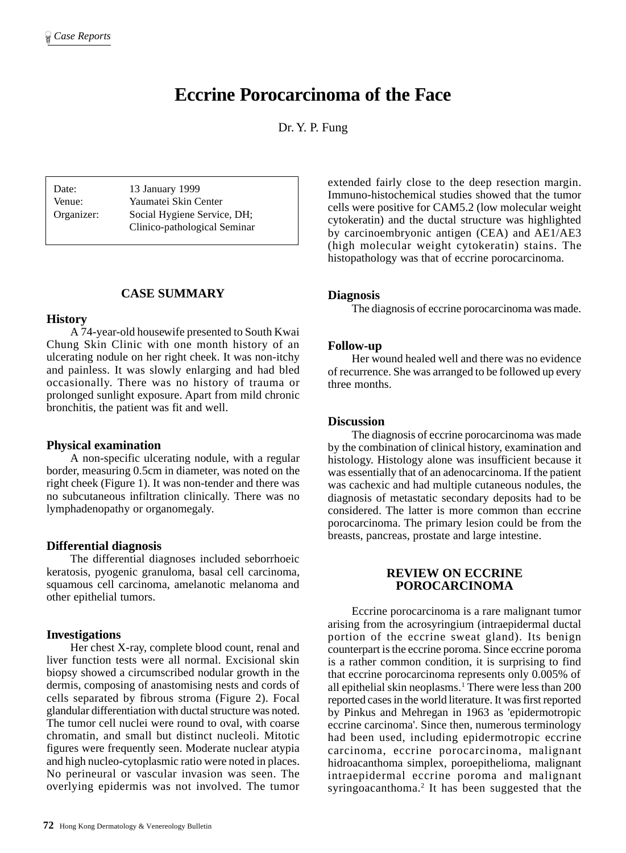# **Eccrine Porocarcinoma of the Face**

Dr. Y. P. Fung

Date: 13 January 1999 Venue: Yaumatei Skin Center Organizer: Social Hygiene Service, DH; Clinico-pathological Seminar

# **CASE SUMMARY**

#### **History**

A 74-year-old housewife presented to South Kwai Chung Skin Clinic with one month history of an ulcerating nodule on her right cheek. It was non-itchy and painless. It was slowly enlarging and had bled occasionally. There was no history of trauma or prolonged sunlight exposure. Apart from mild chronic bronchitis, the patient was fit and well.

#### **Physical examination**

A non-specific ulcerating nodule, with a regular border, measuring 0.5cm in diameter, was noted on the right cheek (Figure 1). It was non-tender and there was no subcutaneous infiltration clinically. There was no lymphadenopathy or organomegaly.

# **Differential diagnosis**

The differential diagnoses included seborrhoeic keratosis, pyogenic granuloma, basal cell carcinoma, squamous cell carcinoma, amelanotic melanoma and other epithelial tumors.

# **Investigations**

Her chest X-ray, complete blood count, renal and liver function tests were all normal. Excisional skin biopsy showed a circumscribed nodular growth in the dermis, composing of anastomising nests and cords of cells separated by fibrous stroma (Figure 2). Focal glandular differentiation with ductal structure was noted. The tumor cell nuclei were round to oval, with coarse chromatin, and small but distinct nucleoli. Mitotic figures were frequently seen. Moderate nuclear atypia and high nucleo-cytoplasmic ratio were noted in places. No perineural or vascular invasion was seen. The overlying epidermis was not involved. The tumor

extended fairly close to the deep resection margin. Immuno-histochemical studies showed that the tumor cells were positive for CAM5.2 (low molecular weight cytokeratin) and the ductal structure was highlighted by carcinoembryonic antigen (CEA) and AE1/AE3 (high molecular weight cytokeratin) stains. The histopathology was that of eccrine porocarcinoma.

#### **Diagnosis**

The diagnosis of eccrine porocarcinoma was made.

#### **Follow-up**

Her wound healed well and there was no evidence of recurrence. She was arranged to be followed up every three months.

#### **Discussion**

The diagnosis of eccrine porocarcinoma was made by the combination of clinical history, examination and histology. Histology alone was insufficient because it was essentially that of an adenocarcinoma. If the patient was cachexic and had multiple cutaneous nodules, the diagnosis of metastatic secondary deposits had to be considered. The latter is more common than eccrine porocarcinoma. The primary lesion could be from the breasts, pancreas, prostate and large intestine.

# **REVIEW ON ECCRINE POROCARCINOMA**

Eccrine porocarcinoma is a rare malignant tumor arising from the acrosyringium (intraepidermal ductal portion of the eccrine sweat gland). Its benign counterpart is the eccrine poroma. Since eccrine poroma is a rather common condition, it is surprising to find that eccrine porocarcinoma represents only 0.005% of all epithelial skin neoplasms.<sup>1</sup> There were less than 200 reported cases in the world literature. It was first reported by Pinkus and Mehregan in 1963 as 'epidermotropic eccrine carcinoma'. Since then, numerous terminology had been used, including epidermotropic eccrine carcinoma, eccrine porocarcinoma, malignant hidroacanthoma simplex, poroepithelioma, malignant intraepidermal eccrine poroma and malignant syringoacanthoma.<sup>2</sup> It has been suggested that the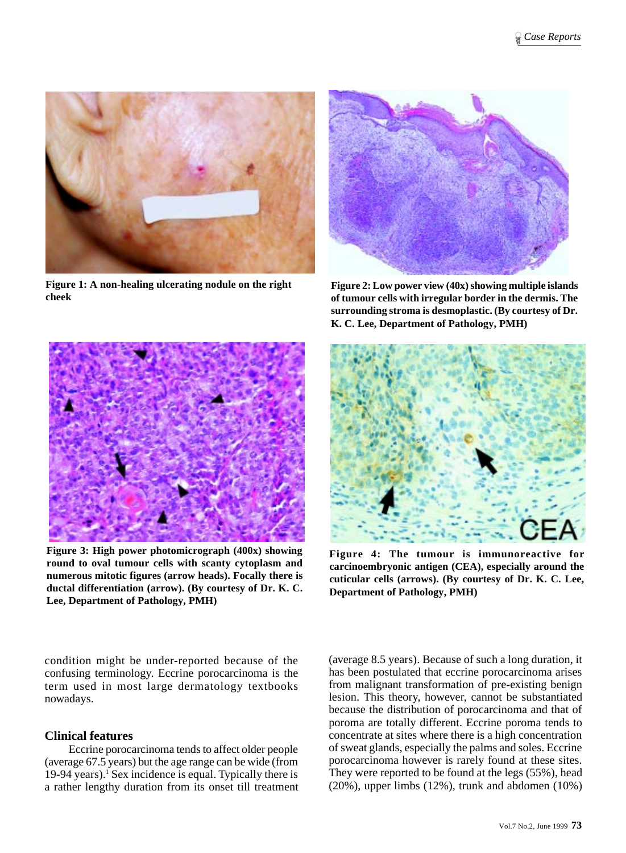

**Figure 1: A non-healing ulcerating nodule on the right cheek**



**Figure 2: Low power view (40x) showing multiple islands of tumour cells with irregular border in the dermis. The surrounding stroma is desmoplastic. (By courtesy of Dr. K. C. Lee, Department of Pathology, PMH)**



**Figure 3: High power photomicrograph (400x) showing round to oval tumour cells with scanty cytoplasm and numerous mitotic figures (arrow heads). Focally there is ductal differentiation (arrow). (By courtesy of Dr. K. C. Lee, Department of Pathology, PMH)**



**Figure 4: The tumour is immunoreactive for carcinoembryonic antigen (CEA), especially around the cuticular cells (arrows). (By courtesy of Dr. K. C. Lee, Department of Pathology, PMH)**

condition might be under-reported because of the confusing terminology. Eccrine porocarcinoma is the term used in most large dermatology textbooks nowadays.

# **Clinical features**

Eccrine porocarcinoma tends to affect older people (average 67.5 years) but the age range can be wide (from 19-94 years).<sup>1</sup> Sex incidence is equal. Typically there is a rather lengthy duration from its onset till treatment

(average 8.5 years). Because of such a long duration, it has been postulated that eccrine porocarcinoma arises from malignant transformation of pre-existing benign lesion. This theory, however, cannot be substantiated because the distribution of porocarcinoma and that of poroma are totally different. Eccrine poroma tends to concentrate at sites where there is a high concentration of sweat glands, especially the palms and soles. Eccrine porocarcinoma however is rarely found at these sites. They were reported to be found at the legs (55%), head (20%), upper limbs (12%), trunk and abdomen (10%)